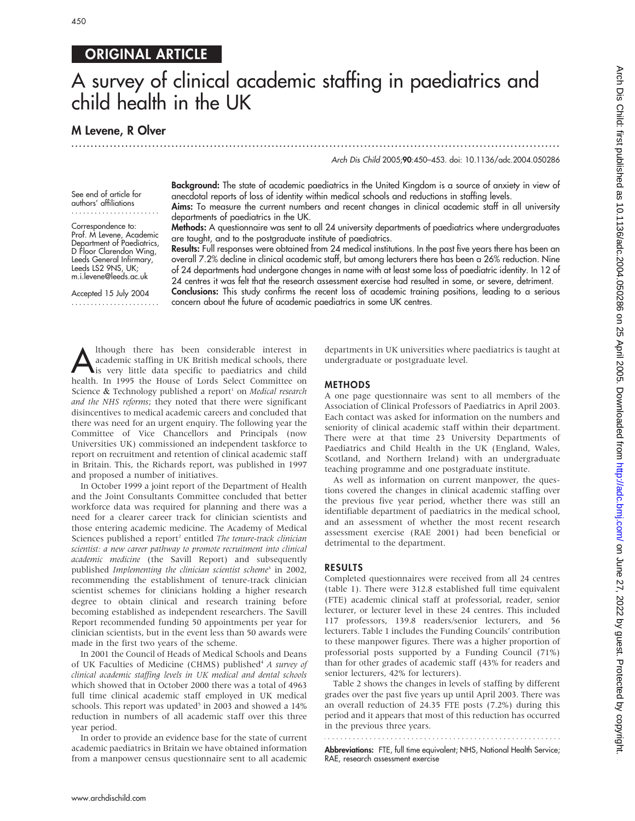# ORIGINAL ARTICLE

# A survey of clinical academic staffing in paediatrics and child health in the UK

...............................................................................................................................

## M Levene, R Olver

Arch Dis Child 2005;90:450–453. doi: 10.1136/adc.2004.050286

See end of article for authors' affiliations .......................

Correspondence to: Prof. M Levene, Academic Department of Paediatrics, D Floor Clarendon Wing, Leeds General Infirmary, Leeds LS2 9NS, UK; m.i.levene@leeds.ac.uk

Accepted 15 July 2004 ....................... Background: The state of academic paediatrics in the United Kingdom is a source of anxiety in view of anecdotal reports of loss of identity within medical schools and reductions in staffing levels.

Aims: To measure the current numbers and recent changes in clinical academic staff in all university departments of paediatrics in the UK.

Methods: A questionnaire was sent to all 24 university departments of paediatrics where undergraduates are taught, and to the postgraduate institute of paediatrics.

Results: Full responses were obtained from 24 medical institutions. In the past five years there has been an overall 7.2% decline in clinical academic staff, but among lecturers there has been a 26% reduction. Nine of 24 departments had undergone changes in name with at least some loss of paediatric identity. In 12 of 24 centres it was felt that the research assessment exercise had resulted in some, or severe, detriment. Conclusions: This study confirms the recent loss of academic training positions, leading to a serious concern about the future of academic paediatrics in some UK centres.

Although there has been considerable interest in<br>academic staffing in UK British medical schools, there<br>is very little data specific to paediatrics and child<br>health In 1995 the House of Lords Select Committee on academic staffing in UK British medical schools, there health. In 1995 the House of Lords Select Committee on Science & Technology published a report<sup>1</sup> on *Medical research* and the NHS reforms; they noted that there were significant disincentives to medical academic careers and concluded that there was need for an urgent enquiry. The following year the Committee of Vice Chancellors and Principals (now Universities UK) commissioned an independent taskforce to report on recruitment and retention of clinical academic staff in Britain. This, the Richards report, was published in 1997 and proposed a number of initiatives.

In October 1999 a joint report of the Department of Health and the Joint Consultants Committee concluded that better workforce data was required for planning and there was a need for a clearer career track for clinician scientists and those entering academic medicine. The Academy of Medical Sciences published a report<sup>2</sup> entitled The tenure-track clinician scientist: a new career pathway to promote recruitment into clinical academic medicine (the Savill Report) and subsequently published Implementing the clinician scientist scheme<sup>3</sup> in 2002, recommending the establishment of tenure-track clinician scientist schemes for clinicians holding a higher research degree to obtain clinical and research training before becoming established as independent researchers. The Savill Report recommended funding 50 appointments per year for clinician scientists, but in the event less than 50 awards were made in the first two years of the scheme.

In 2001 the Council of Heads of Medical Schools and Deans of UK Faculties of Medicine (CHMS) published<sup>4</sup> A survey of clinical academic staffing levels in UK medical and dental schools which showed that in October 2000 there was a total of 4963 full time clinical academic staff employed in UK medical schools. This report was updated<sup>5</sup> in 2003 and showed a 14% reduction in numbers of all academic staff over this three year period.

In order to provide an evidence base for the state of current academic paediatrics in Britain we have obtained information from a manpower census questionnaire sent to all academic departments in UK universities where paediatrics is taught at undergraduate or postgraduate level.

### METHODS

A one page questionnaire was sent to all members of the Association of Clinical Professors of Paediatrics in April 2003. Each contact was asked for information on the numbers and seniority of clinical academic staff within their department. There were at that time 23 University Departments of Paediatrics and Child Health in the UK (England, Wales, Scotland, and Northern Ireland) with an undergraduate teaching programme and one postgraduate institute.

As well as information on current manpower, the questions covered the changes in clinical academic staffing over the previous five year period, whether there was still an identifiable department of paediatrics in the medical school, and an assessment of whether the most recent research assessment exercise (RAE 2001) had been beneficial or detrimental to the department.

#### RESULTS

Completed questionnaires were received from all 24 centres (table 1). There were 312.8 established full time equivalent (FTE) academic clinical staff at professorial, reader, senior lecturer, or lecturer level in these 24 centres. This included 117 professors, 139.8 readers/senior lecturers, and 56 lecturers. Table 1 includes the Funding Councils' contribution to these manpower figures. There was a higher proportion of professorial posts supported by a Funding Council (71%) than for other grades of academic staff (43% for readers and senior lecturers, 42% for lecturers).

Table 2 shows the changes in levels of staffing by different grades over the past five years up until April 2003. There was an overall reduction of 24.35 FTE posts (7.2%) during this period and it appears that most of this reduction has occurred in the previous three years.

Abbreviations: FTE, full time equivalent; NHS, National Health Service;

RAE, research assessment exercise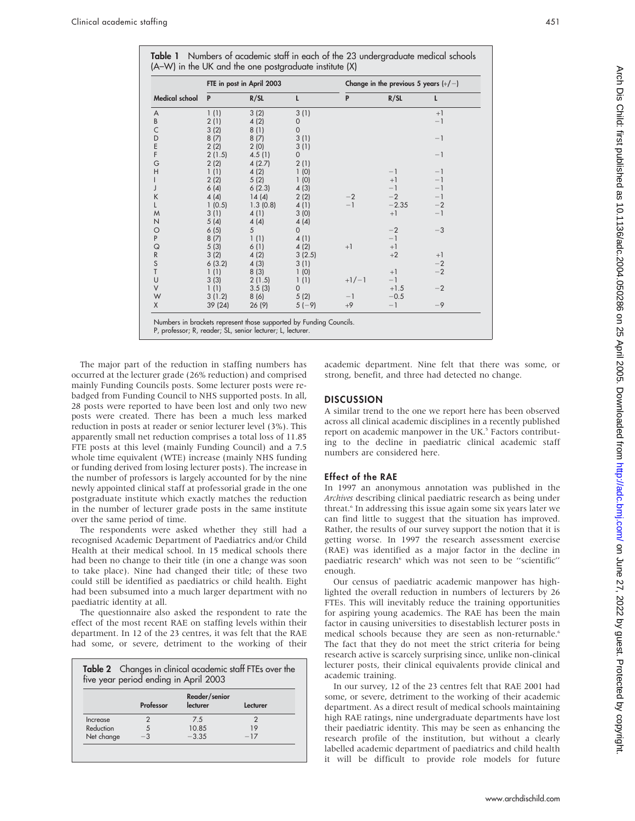| Medical school | FTE in post in April 2003 |          |              | Change in the previous 5 years $(+/-)$ |         |      |
|----------------|---------------------------|----------|--------------|----------------------------------------|---------|------|
|                | P                         | R/SL     | L            | P                                      | R/SL    | L    |
| A              | 1(1)                      | 3(2)     | 3(1)         |                                        |         | $+1$ |
| B              | 2(1)                      | 4(2)     | 0            |                                        |         | $-1$ |
| $\mathsf{C}$   | 3(2)                      | 8(1)     | $\mathbf{0}$ |                                        |         |      |
| D              | 8(7)                      | 8(7)     | 3(1)         |                                        |         | $-1$ |
| E<br>F         | 2(2)                      | 2(0)     | 3(1)         |                                        |         |      |
|                | 2(1.5)                    | 4.5(1)   | 0            |                                        |         | $-1$ |
| G              | 2(2)                      | 4(2.7)   | 2(1)         |                                        |         |      |
| H              | 1(1)                      | 4(2)     | 1(0)         |                                        | $-1$    | $-1$ |
| L              | 2(2)                      | 5(2)     | 1(0)         |                                        | $+1$    | $-1$ |
| J              | 6(4)                      | 6(2.3)   | 4(3)         |                                        | $-1$    | $-1$ |
| K              | 4(4)                      | 14(4)    | 2(2)         | $-2$                                   | $-2$    | $-1$ |
| L              | 1(0.5)                    | 1.3(0.8) | 4(1)         | $-1$                                   | $-2.35$ | $-2$ |
| M              | 3(1)                      | 4(1)     | 3(0)         |                                        | $+1$    | $-1$ |
| N              | 5(4)                      | 4(4)     | 4(4)         |                                        |         |      |
| $\circ$        | 6(5)                      | 5        | $\Omega$     |                                        | $-2$    | $-3$ |
| $\sf P$        | 8(7)                      | 1(1)     | 4(1)         |                                        | $-1$    |      |
| $\mathsf Q$    | 5(3)                      | 6(1)     | 4(2)         | $+1$                                   | $+1$    |      |
| ${\sf R}$      | 3(2)                      | 4(2)     | 3(2.5)       |                                        | $+2$    | $+1$ |
| S<br>T         | 6(3.2)                    | 4(3)     | 3(1)         |                                        |         | $-2$ |
|                | 1(1)                      | 8(3)     | 1(0)         |                                        | $+1$    | $-2$ |
| U              | 3(3)                      | 2(1.5)   | 1(1)         | $+1/-1$                                | $-1$    |      |
| $\vee$         | 1(1)                      | 3.5(3)   | $\Omega$     |                                        | $+1.5$  | $-2$ |
| W              | 3(1.2)                    | 8(6)     | 5(2)         | $-1$                                   | $-0.5$  |      |
| X              | 39 (24)                   | 26(9)    | $5(-9)$      | $+9$                                   | $-1$    | $-9$ |

The major part of the reduction in staffing numbers has occurred at the lecturer grade (26% reduction) and comprised mainly Funding Councils posts. Some lecturer posts were rebadged from Funding Council to NHS supported posts. In all, 28 posts were reported to have been lost and only two new posts were created. There has been a much less marked reduction in posts at reader or senior lecturer level (3%). This apparently small net reduction comprises a total loss of 11.85 FTE posts at this level (mainly Funding Council) and a 7.5 whole time equivalent (WTE) increase (mainly NHS funding or funding derived from losing lecturer posts). The increase in the number of professors is largely accounted for by the nine newly appointed clinical staff at professorial grade in the one postgraduate institute which exactly matches the reduction in the number of lecturer grade posts in the same institute over the same period of time.

The respondents were asked whether they still had a recognised Academic Department of Paediatrics and/or Child Health at their medical school. In 15 medical schools there had been no change to their title (in one a change was soon to take place). Nine had changed their title; of these two could still be identified as paediatrics or child health. Eight had been subsumed into a much larger department with no paediatric identity at all.

The questionnaire also asked the respondent to rate the effect of the most recent RAE on staffing levels within their department. In 12 of the 23 centres, it was felt that the RAE had some, or severe, detriment to the working of their

|            | Table 2 Changes in clinical academic staff FTEs over the<br>five year period ending in April 2003 |                           |          |  |  |  |
|------------|---------------------------------------------------------------------------------------------------|---------------------------|----------|--|--|--|
|            | Professor                                                                                         | Reader/senior<br>lecturer | Lecturer |  |  |  |
| Increase   |                                                                                                   | 7.5                       |          |  |  |  |
| Reduction  |                                                                                                   | 10.85                     | 19       |  |  |  |
| Net change |                                                                                                   | $-3.35$                   | $-17$    |  |  |  |

academic department. Nine felt that there was some, or strong, benefit, and three had detected no change.

#### **DISCUSSION**

A similar trend to the one we report here has been observed across all clinical academic disciplines in a recently published report on academic manpower in the UK.<sup>5</sup> Factors contributing to the decline in paediatric clinical academic staff numbers are considered here.

#### Effect of the RAE

In 1997 an anonymous annotation was published in the Archives describing clinical paediatric research as being under threat.<sup>6</sup> In addressing this issue again some six years later we can find little to suggest that the situation has improved. Rather, the results of our survey support the notion that it is getting worse. In 1997 the research assessment exercise (RAE) was identified as a major factor in the decline in paediatric research<sup>6</sup> which was not seen to be "scientific" enough.

Our census of paediatric academic manpower has highlighted the overall reduction in numbers of lecturers by 26 FTEs. This will inevitably reduce the training opportunities for aspiring young academics. The RAE has been the main factor in causing universities to disestablish lecturer posts in medical schools because they are seen as non-returnable.<sup>6</sup> The fact that they do not meet the strict criteria for being research active is scarcely surprising since, unlike non-clinical lecturer posts, their clinical equivalents provide clinical and academic training.

In our survey, 12 of the 23 centres felt that RAE 2001 had some, or severe, detriment to the working of their academic department. As a direct result of medical schools maintaining high RAE ratings, nine undergraduate departments have lost their paediatric identity. This may be seen as enhancing the research profile of the institution, but without a clearly labelled academic department of paediatrics and child health it will be difficult to provide role models for future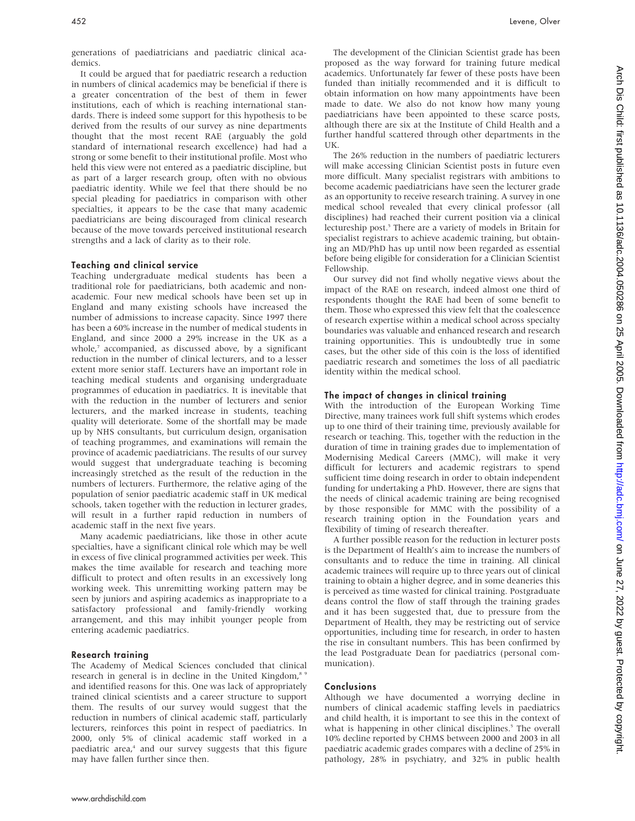It could be argued that for paediatric research a reduction in numbers of clinical academics may be beneficial if there is a greater concentration of the best of them in fewer institutions, each of which is reaching international standards. There is indeed some support for this hypothesis to be derived from the results of our survey as nine departments thought that the most recent RAE (arguably the gold standard of international research excellence) had had a strong or some benefit to their institutional profile. Most who held this view were not entered as a paediatric discipline, but as part of a larger research group, often with no obvious paediatric identity. While we feel that there should be no special pleading for paediatrics in comparison with other specialties, it appears to be the case that many academic paediatricians are being discouraged from clinical research because of the move towards perceived institutional research strengths and a lack of clarity as to their role.

#### Teaching and clinical service

Teaching undergraduate medical students has been a traditional role for paediatricians, both academic and nonacademic. Four new medical schools have been set up in England and many existing schools have increased the number of admissions to increase capacity. Since 1997 there has been a 60% increase in the number of medical students in England, and since 2000 a 29% increase in the UK as a whole,<sup>7</sup> accompanied, as discussed above, by a significant reduction in the number of clinical lecturers, and to a lesser extent more senior staff. Lecturers have an important role in teaching medical students and organising undergraduate programmes of education in paediatrics. It is inevitable that with the reduction in the number of lecturers and senior lecturers, and the marked increase in students, teaching quality will deteriorate. Some of the shortfall may be made up by NHS consultants, but curriculum design, organisation of teaching programmes, and examinations will remain the province of academic paediatricians. The results of our survey would suggest that undergraduate teaching is becoming increasingly stretched as the result of the reduction in the numbers of lecturers. Furthermore, the relative aging of the population of senior paediatric academic staff in UK medical schools, taken together with the reduction in lecturer grades, will result in a further rapid reduction in numbers of academic staff in the next five years.

Many academic paediatricians, like those in other acute specialties, have a significant clinical role which may be well in excess of five clinical programmed activities per week. This makes the time available for research and teaching more difficult to protect and often results in an excessively long working week. This unremitting working pattern may be seen by juniors and aspiring academics as inappropriate to a satisfactory professional and family-friendly working arrangement, and this may inhibit younger people from entering academic paediatrics.

#### Research training

The Academy of Medical Sciences concluded that clinical research in general is in decline in the United Kingdom,<sup>8 9</sup> and identified reasons for this. One was lack of appropriately trained clinical scientists and a career structure to support them. The results of our survey would suggest that the reduction in numbers of clinical academic staff, particularly lecturers, reinforces this point in respect of paediatrics. In 2000, only 5% of clinical academic staff worked in a paediatric area,<sup>4</sup> and our survey suggests that this figure may have fallen further since then.

The development of the Clinician Scientist grade has been proposed as the way forward for training future medical academics. Unfortunately far fewer of these posts have been funded than initially recommended and it is difficult to obtain information on how many appointments have been made to date. We also do not know how many young paediatricians have been appointed to these scarce posts, although there are six at the Institute of Child Health and a further handful scattered through other departments in the UK.

The 26% reduction in the numbers of paediatric lecturers will make accessing Clinician Scientist posts in future even more difficult. Many specialist registrars with ambitions to become academic paediatricians have seen the lecturer grade as an opportunity to receive research training. A survey in one medical school revealed that every clinical professor (all disciplines) had reached their current position via a clinical lectureship post.<sup>5</sup> There are a variety of models in Britain for specialist registrars to achieve academic training, but obtaining an MD/PhD has up until now been regarded as essential before being eligible for consideration for a Clinician Scientist Fellowship.

Our survey did not find wholly negative views about the impact of the RAE on research, indeed almost one third of respondents thought the RAE had been of some benefit to them. Those who expressed this view felt that the coalescence of research expertise within a medical school across specialty boundaries was valuable and enhanced research and research training opportunities. This is undoubtedly true in some cases, but the other side of this coin is the loss of identified paediatric research and sometimes the loss of all paediatric identity within the medical school.

#### The impact of changes in clinical training

With the introduction of the European Working Time Directive, many trainees work full shift systems which erodes up to one third of their training time, previously available for research or teaching. This, together with the reduction in the duration of time in training grades due to implementation of Modernising Medical Careers (MMC), will make it very difficult for lecturers and academic registrars to spend sufficient time doing research in order to obtain independent funding for undertaking a PhD. However, there are signs that the needs of clinical academic training are being recognised by those responsible for MMC with the possibility of a research training option in the Foundation years and flexibility of timing of research thereafter.

A further possible reason for the reduction in lecturer posts is the Department of Health's aim to increase the numbers of consultants and to reduce the time in training. All clinical academic trainees will require up to three years out of clinical training to obtain a higher degree, and in some deaneries this is perceived as time wasted for clinical training. Postgraduate deans control the flow of staff through the training grades and it has been suggested that, due to pressure from the Department of Health, they may be restricting out of service opportunities, including time for research, in order to hasten the rise in consultant numbers. This has been confirmed by the lead Postgraduate Dean for paediatrics (personal communication).

#### Conclusions

Although we have documented a worrying decline in numbers of clinical academic staffing levels in paediatrics and child health, it is important to see this in the context of what is happening in other clinical disciplines.<sup>5</sup> The overall 10% decline reported by CHMS between 2000 and 2003 in all paediatric academic grades compares with a decline of 25% in pathology, 28% in psychiatry, and 32% in public health